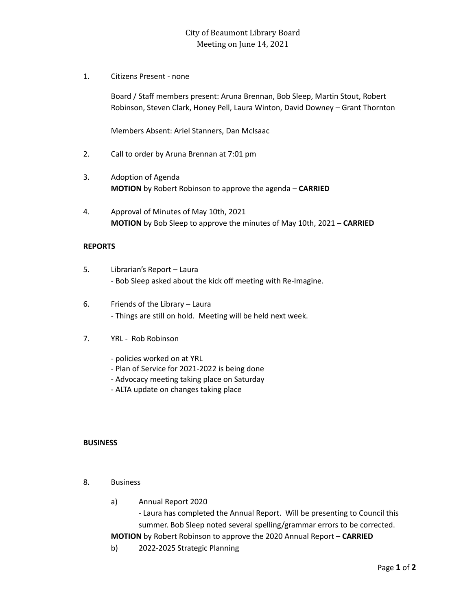## City of Beaumont Library Board Meeting on June 14, 2021

1. Citizens Present - none

Board / Staff members present: Aruna Brennan, Bob Sleep, Martin Stout, Robert Robinson, Steven Clark, Honey Pell, Laura Winton, David Downey – Grant Thornton

Members Absent: Ariel Stanners, Dan McIsaac

- 2. Call to order by Aruna Brennan at 7:01 pm
- 3. Adoption of Agenda **MOTION** by Robert Robinson to approve the agenda – **CARRIED**
- 4. Approval of Minutes of May 10th, 2021 **MOTION** by Bob Sleep to approve the minutes of May 10th, 2021 – **CARRIED**

## **REPORTS**

- 5. Librarian's Report Laura - Bob Sleep asked about the kick off meeting with Re-Imagine.
- 6. Friends of the Library Laura - Things are still on hold. Meeting will be held next week.
- 7. YRL Rob Robinson
	- policies worked on at YRL
	- Plan of Service for 2021-2022 is being done
	- Advocacy meeting taking place on Saturday
	- ALTA update on changes taking place

## **BUSINESS**

- 8. Business
	- a) Annual Report 2020

- Laura has completed the Annual Report. Will be presenting to Council this summer. Bob Sleep noted several spelling/grammar errors to be corrected.

**MOTION** by Robert Robinson to approve the 2020 Annual Report – **CARRIED**

b) 2022-2025 Strategic Planning